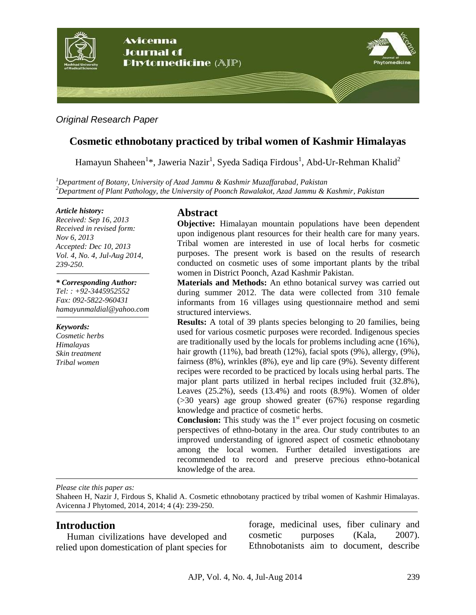

*Original Research Paper*

# **Cosmetic ethnobotany practiced by tribal women of Kashmir Himalayas**

Hamayun Shaheen $^{1*}$ , Jaweria Nazir $^{1}$ , Syeda Sadiqa Firdous $^{1}$ , Abd-Ur-Rehman Khalid $^{2}$ 

*<sup>1</sup>Department of Botany, University of Azad Jammu & Kashmir Muzaffarabad, Pakistan <sup>2</sup>Department of Plant Pathology, the University of Poonch Rawalakot, Azad Jammu & Kashmir, Pakistan*

#### *Article history:*

*Received: Sep 16, 2013 Received in revised form: Nov 6, 2013 Accepted: Dec 10, 2013 Vol. 4, No. 4, Jul-Aug 2014, 239-250.*

#### *\* Corresponding Author:*

*Tel: : +92-3445952552 Fax: 092-5822-960431 [hamayunmaldial@yahoo.com](mailto:hamayunmaldial@yahoo.com)*

*Keywords: Cosmetic herbs Himalayas Skin treatment Tribal women* 

## **Abstract**

**Objective:** Himalayan mountain populations have been dependent upon indigenous plant resources for their health care for many years. Tribal women are interested in use of local herbs for cosmetic purposes. The present work is based on the results of research conducted on cosmetic uses of some important plants by the tribal women in District Poonch, Azad Kashmir Pakistan.

**Materials and Methods:** An ethno botanical survey was carried out during summer 2012. The data were collected from 310 female informants from 16 villages using questionnaire method and semi structured interviews.

**Results:** A total of 39 plants species belonging to 20 families, being used for various cosmetic purposes were recorded. Indigenous species are traditionally used by the locals for problems including acne (16%), hair growth (11%), bad breath (12%), facial spots (9%), allergy, (9%), fairness (8%), wrinkles (8%), eye and lip care (9%). Seventy different recipes were recorded to be practiced by locals using herbal parts. The major plant parts utilized in herbal recipes included fruit (32.8%), Leaves (25.2%), seeds (13.4%) and roots (8.9%). Women of older (>30 years) age group showed greater (67%) response regarding knowledge and practice of cosmetic herbs.

**Conclusion:** This study was the  $1<sup>st</sup>$  ever project focusing on cosmetic perspectives of ethno-botany in the area. Our study contributes to an improved understanding of ignored aspect of cosmetic ethnobotany among the local women. Further detailed investigations are recommended to record and preserve precious ethno-botanical knowledge of the area.

*Please cite this paper as:* 

Shaheen H, Nazir J, Firdous S, Khalid A. Cosmetic ethnobotany practiced by tribal women of Kashmir Himalayas. Avicenna J Phytomed, 2014, 2014; 4 (4): 239-250.

### **Introduction**

Human civilizations have developed and relied upon domestication of plant species for

forage, medicinal uses, fiber culinary and cosmetic purposes (Kala, 2007). Ethnobotanists aim to document, describe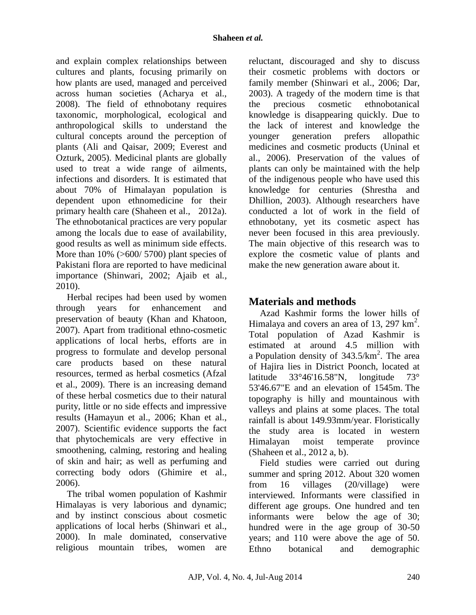### **Shaheen** *et al.*

and explain complex relationships between cultures and plants, focusing primarily on how plants are used, managed and perceived across human societies (Acharya et al., 2008). The field of ethnobotany requires taxonomic, morphological, ecological and anthropological skills to understand the cultural concepts around the perception of plants (Ali and Qaisar, 2009; Everest and Ozturk, 2005). Medicinal plants are globally used to treat a wide range of ailments, infections and disorders. It is estimated that about 70% of Himalayan population is dependent upon ethnomedicine for their primary health care (Shaheen et al.,2012a). The ethnobotanical practices are very popular among the locals due to ease of availability, good results as well as minimum side effects. More than  $10\%$  (>600/ 5700) plant species of Pakistani flora are reported to have medicinal importance (Shinwari, 2002; Ajaib et al*.,* 2010).

Herbal recipes had been used by women through years for enhancement and preservation of beauty (Khan and Khatoon, 2007). Apart from traditional ethno-cosmetic applications of local herbs, efforts are in progress to formulate and develop personal care products based on these natural resources, termed as herbal cosmetics (Afzal et al., 2009). There is an increasing demand of these herbal cosmetics due to their natural purity, little or no side effects and impressive results (Hamayun et al.*,* 2006; Khan et al., 2007). Scientific evidence supports the fact that phytochemicals are very effective in smoothening, calming, restoring and healing of skin and hair; as well as perfuming and correcting body odors (Ghimire et al., 2006).

The tribal women population of Kashmir Himalayas is very laborious and dynamic; and by instinct conscious about cosmetic applications of local herbs (Shinwari et al., 2000). In male dominated, conservative religious mountain tribes, women are reluctant, discouraged and shy to discuss their cosmetic problems with doctors or family member (Shinwari et al., 2006; Dar, 2003). A tragedy of the modern time is that the precious cosmetic ethnobotanical knowledge is disappearing quickly. Due to the lack of interest and knowledge the younger generation prefers allopathic medicines and cosmetic products (Uninal et al., 2006). Preservation of the values of plants can only be maintained with the help of the indigenous people who have used this knowledge for centuries (Shrestha and Dhillion, 2003). Although researchers have conducted a lot of work in the field of ethnobotany, yet its cosmetic aspect has never been focused in this area previously. The main objective of this research was to explore the cosmetic value of plants and make the new generation aware about it.

# **Materials and methods**

Azad Kashmir forms the lower hills of Himalaya and covers an area of 13, 297  $\text{km}^2$ . Total population of Azad Kashmir is estimated at around 4.5 million with a Population density of  $343.5/km^2$ . The area of Hajira lies in District Poonch, located at latitude 33°46'16.58"N, longitude 73° 53'46.67"E and an elevation of 1545m. The topography is hilly and mountainous with valleys and plains at some places. The total rainfall is about 149.93mm/year. Floristically the study area is located in western Himalayan moist temperate province (Shaheen et al., 2012 a, b).

Field studies were carried out during summer and spring 2012. About 320 women from 16 villages (20/village) were interviewed. Informants were classified in different age groups. One hundred and ten informants were below the age of 30; hundred were in the age group of 30-50 years; and 110 were above the age of 50. Ethno botanical and demographic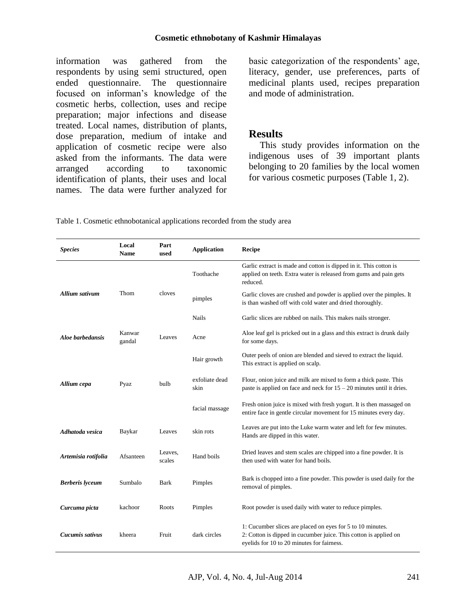#### **Cosmetic ethnobotany of Kashmir Himalayas**

information was gathered from the respondents by using semi structured, open ended questionnaire. The questionnaire focused on informan's knowledge of the cosmetic herbs, collection, uses and recipe preparation; major infections and disease treated. Local names, distribution of plants, dose preparation, medium of intake and application of cosmetic recipe were also asked from the informants. The data were arranged according to taxonomic identification of plants, their uses and local names. The data were further analyzed for basic categorization of the respondents' age, literacy, gender, use preferences, parts of medicinal plants used, recipes preparation and mode of administration.

## **Results**

This study provides information on the indigenous uses of 39 important plants belonging to 20 families by the local women for various cosmetic purposes (Table 1, 2).

Table 1. Cosmetic ethnobotanical applications recorded from the study area

| <b>Species</b>         | Local<br><b>Name</b> | Part<br>used      | <b>Application</b>     | Recipe                                                                                                                                                                       |  |
|------------------------|----------------------|-------------------|------------------------|------------------------------------------------------------------------------------------------------------------------------------------------------------------------------|--|
|                        |                      |                   | Toothache              | Garlic extract is made and cotton is dipped in it. This cotton is<br>applied on teeth. Extra water is released from gums and pain gets<br>reduced.                           |  |
| <b>Allium sativum</b>  | Thom                 | cloves            | pimples                | Garlic cloves are crushed and powder is applied over the pimples. It<br>is than washed off with cold water and dried thoroughly.                                             |  |
|                        |                      |                   | <b>Nails</b>           | Garlic slices are rubbed on nails. This makes nails stronger.                                                                                                                |  |
| Aloe barbedansis       | Kanwar<br>gandal     | Leaves            | Acne                   | Aloe leaf gel is pricked out in a glass and this extract is drunk daily<br>for some days.                                                                                    |  |
|                        |                      |                   | Hair growth            | Outer peels of onion are blended and sieved to extract the liquid.<br>This extract is applied on scalp.                                                                      |  |
| Allium cepa            | Pyaz                 | bulb              | exfoliate dead<br>skin | Flour, onion juice and milk are mixed to form a thick paste. This<br>paste is applied on face and neck for $15 - 20$ minutes until it dries.                                 |  |
|                        |                      |                   | facial massage         | Fresh onion juice is mixed with fresh yogurt. It is then massaged on<br>entire face in gentle circular movement for 15 minutes every day.                                    |  |
| Adhatoda vesica        | Baykar               | Leaves            | skin rots              | Leaves are put into the Luke warm water and left for few minutes.<br>Hands are dipped in this water.                                                                         |  |
| Artemisia rotifolia    | Afsanteen            | Leaves,<br>scales | Hand boils             | Dried leaves and stem scales are chipped into a fine powder. It is<br>then used with water for hand boils.                                                                   |  |
| <b>Berberis</b> lyceum | Sumbalo              | <b>Bark</b>       | Pimples                | Bark is chopped into a fine powder. This powder is used daily for the<br>removal of pimples.                                                                                 |  |
| Curcuma picta          | kachoor              | Roots             | Pimples                | Root powder is used daily with water to reduce pimples.                                                                                                                      |  |
| Cucumis sativus        | kheera               | Fruit             | dark circles           | 1: Cucumber slices are placed on eyes for 5 to 10 minutes.<br>2: Cotton is dipped in cucumber juice. This cotton is applied on<br>eyelids for 10 to 20 minutes for fairness. |  |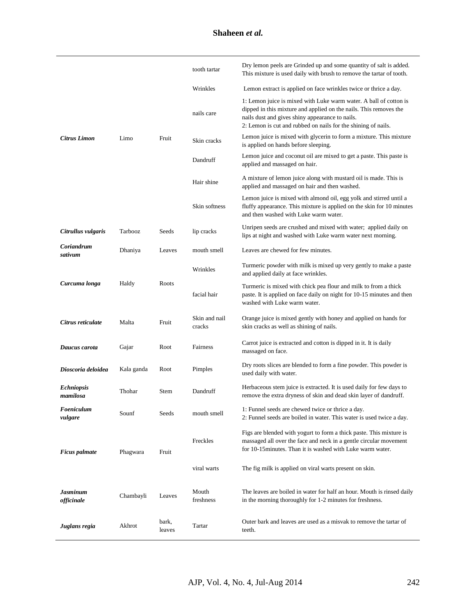|                               |            |                 | tooth tartar            | Dry lemon peels are Grinded up and some quantity of salt is added.<br>This mixture is used daily with brush to remove the tartar of tooth.                                                                                                                 |  |
|-------------------------------|------------|-----------------|-------------------------|------------------------------------------------------------------------------------------------------------------------------------------------------------------------------------------------------------------------------------------------------------|--|
|                               |            |                 | Wrinkles                | Lemon extract is applied on face wrinkles twice or thrice a day.                                                                                                                                                                                           |  |
|                               |            |                 | nails care              | 1: Lemon juice is mixed with Luke warm water. A ball of cotton is<br>dipped in this mixture and applied on the nails. This removes the<br>nails dust and gives shiny appearance to nails.<br>2: Lemon is cut and rubbed on nails for the shining of nails. |  |
| Citrus Limon                  | Limo       | Fruit           | Skin cracks             | Lemon juice is mixed with glycerin to form a mixture. This mixture<br>is applied on hands before sleeping.                                                                                                                                                 |  |
|                               |            |                 | Dandruff                | Lemon juice and coconut oil are mixed to get a paste. This paste is<br>applied and massaged on hair.                                                                                                                                                       |  |
|                               |            |                 | Hair shine              | A mixture of lemon juice along with mustard oil is made. This is<br>applied and massaged on hair and then washed.                                                                                                                                          |  |
|                               |            |                 | Skin softness           | Lemon juice is mixed with almond oil, egg yolk and stirred until a<br>fluffy appearance. This mixture is applied on the skin for 10 minutes<br>and then washed with Luke warm water.                                                                       |  |
| Citrullus vulgaris            | Tarbooz    | Seeds           | lip cracks              | Unripen seeds are crushed and mixed with water; applied daily on<br>lips at night and washed with Luke warm water next morning.                                                                                                                            |  |
| Coriandrum<br>sativum         | Dhaniya    | Leaves          | mouth smell             | Leaves are chewed for few minutes.                                                                                                                                                                                                                         |  |
| Curcuma longa                 | Haldy      | Roots           | Wrinkles                | Turmeric powder with milk is mixed up very gently to make a paste<br>and applied daily at face wrinkles.                                                                                                                                                   |  |
|                               |            |                 | facial hair             | Turmeric is mixed with chick pea flour and milk to from a thick<br>paste. It is applied on face daily on night for 10-15 minutes and then<br>washed with Luke warm water.                                                                                  |  |
| Citrus reticulate             | Malta      | Fruit           | Skin and nail<br>cracks | Orange juice is mixed gently with honey and applied on hands for<br>skin cracks as well as shining of nails.                                                                                                                                               |  |
| Daucus carota                 | Gajar      | Root            | Fairness                | Carrot juice is extracted and cotton is dipped in it. It is daily<br>massaged on face.                                                                                                                                                                     |  |
| Dioscoria deloidea            | Kala ganda | Root            | Pimples                 | Dry roots slices are blended to form a fine powder. This powder is<br>used daily with water.                                                                                                                                                               |  |
| <b>Echniopsis</b><br>mamilosa | Thohar     | Stem            | Dandruff                | Herbaceous stem juice is extracted. It is used daily for few days to<br>remove the extra dryness of skin and dead skin layer of dandruff.                                                                                                                  |  |
| Foeniculum<br>vulgare         | Sounf      | Seeds           | mouth smell             | 1: Funnel seeds are chewed twice or thrice a day.<br>2: Funnel seeds are boiled in water. This water is used twice a day.                                                                                                                                  |  |
| <b>Ficus</b> palmate          | Phagwara   | Fruit           | Freckles                | Figs are blended with yogurt to form a thick paste. This mixture is<br>massaged all over the face and neck in a gentle circular movement<br>for 10-15 minutes. Than it is washed with Luke warm water.                                                     |  |
|                               |            |                 | viral warts             | The fig milk is applied on viral warts present on skin.                                                                                                                                                                                                    |  |
| Jasminum<br>officinale        | Chambayli  | Leaves          | Mouth<br>freshness      | The leaves are boiled in water for half an hour. Mouth is rinsed daily<br>in the morning thoroughly for 1-2 minutes for freshness.                                                                                                                         |  |
| Juglans regia                 | Akhrot     | bark,<br>leaves | Tartar                  | Outer bark and leaves are used as a misvak to remove the tartar of<br>teeth.                                                                                                                                                                               |  |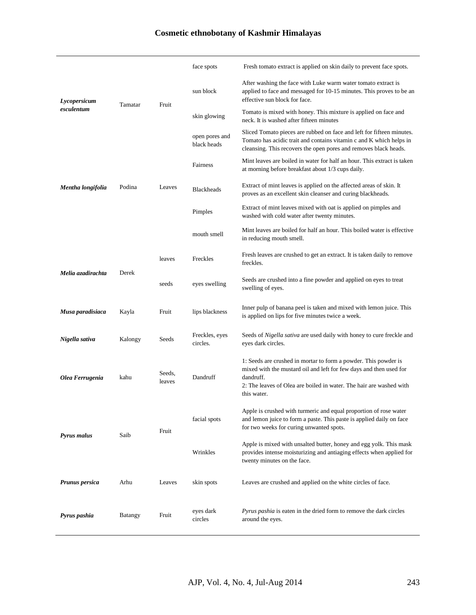# **Cosmetic ethnobotany of Kashmir Himalayas**

|                            |                |                  | face spots                    | Fresh tomato extract is applied on skin daily to prevent face spots.                                                                                                                                                                     |  |
|----------------------------|----------------|------------------|-------------------------------|------------------------------------------------------------------------------------------------------------------------------------------------------------------------------------------------------------------------------------------|--|
| Lycopersicum<br>esculentum | Tamatar        | Fruit            | sun block                     | After washing the face with Luke warm water tomato extract is<br>applied to face and messaged for 10-15 minutes. This proves to be an<br>effective sun block for face.                                                                   |  |
|                            |                |                  | skin glowing                  | Tomato is mixed with honey. This mixture is applied on face and<br>neck. It is washed after fifteen minutes                                                                                                                              |  |
|                            |                |                  | open pores and<br>black heads | Sliced Tomato pieces are rubbed on face and left for fifteen minutes.<br>Tomato has acidic trait and contains vitamin c and K which helps in<br>cleansing. This recovers the open pores and removes black heads.                         |  |
|                            |                | Leaves           | Fairness                      | Mint leaves are boiled in water for half an hour. This extract is taken<br>at morning before breakfast about 1/3 cups daily.                                                                                                             |  |
| Mentha longifolia          | Podina         |                  | <b>Blackheads</b>             | Extract of mint leaves is applied on the affected areas of skin. It<br>proves as an excellent skin cleanser and curing blackheads.                                                                                                       |  |
|                            |                |                  | Pimples                       | Extract of mint leaves mixed with oat is applied on pimples and<br>washed with cold water after twenty minutes.                                                                                                                          |  |
|                            |                |                  | mouth smell                   | Mint leaves are boiled for half an hour. This boiled water is effective<br>in reducing mouth smell.                                                                                                                                      |  |
| Melia azadirachta          | Derek          | leaves           | Freckles                      | Fresh leaves are crushed to get an extract. It is taken daily to remove<br>freckles.                                                                                                                                                     |  |
|                            |                | seeds            | eyes swelling                 | Seeds are crushed into a fine powder and applied on eyes to treat<br>swelling of eyes.                                                                                                                                                   |  |
| Musa paradisiaca           | Kayla          | Fruit            | lips blackness                | Inner pulp of banana peel is taken and mixed with lemon juice. This<br>is applied on lips for five minutes twice a week.                                                                                                                 |  |
| Nigella sativa             | Kalongy        | Seeds            | Freckles, eyes<br>circles.    | Seeds of Nigella sativa are used daily with honey to cure freckle and<br>eyes dark circles.                                                                                                                                              |  |
| Olea Ferrugenia            | kahu           | Seeds.<br>leaves | Dandruff                      | 1: Seeds are crushed in mortar to form a powder. This powder is<br>mixed with the mustard oil and left for few days and then used for<br>dandruff.<br>2: The leaves of Olea are boiled in water. The hair are washed with<br>this water. |  |
| <b>Pyrus malus</b>         | Saib           | Fruit            | facial spots                  | Apple is crushed with turmeric and equal proportion of rose water<br>and lemon juice to form a paste. This paste is applied daily on face<br>for two weeks for curing unwanted spots.                                                    |  |
|                            |                |                  | Wrinkles                      | Apple is mixed with unsalted butter, honey and egg yolk. This mask<br>provides intense moisturizing and antiaging effects when applied for<br>twenty minutes on the face.                                                                |  |
| <b>Prunus persica</b>      | Arhu           | Leaves           | skin spots                    | Leaves are crushed and applied on the white circles of face.                                                                                                                                                                             |  |
| Pyrus pashia               | <b>Batangy</b> | Fruit            | eyes dark<br>circles          | <i>Pyrus pashia</i> is eaten in the dried form to remove the dark circles<br>around the eyes.                                                                                                                                            |  |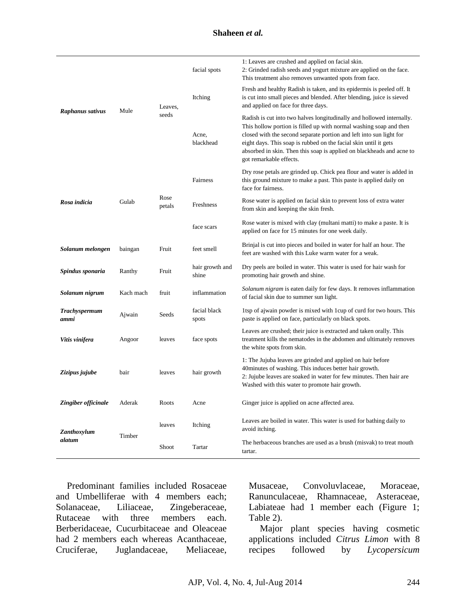#### **Shaheen** *et al.*

| Raphanus sativus             | Mule      | Leaves,<br>seeds | facial spots                                                                             | 1: Leaves are crushed and applied on facial skin.<br>2: Grinded radish seeds and yogurt mixture are applied on the face.<br>This treatment also removes unwanted spots from face.                                                                                                                                                                                                          |  |
|------------------------------|-----------|------------------|------------------------------------------------------------------------------------------|--------------------------------------------------------------------------------------------------------------------------------------------------------------------------------------------------------------------------------------------------------------------------------------------------------------------------------------------------------------------------------------------|--|
|                              |           |                  | Itching                                                                                  | Fresh and healthy Radish is taken, and its epidermis is peeled off. It<br>is cut into small pieces and blended. After blending, juice is sieved<br>and applied on face for three days.                                                                                                                                                                                                     |  |
|                              |           |                  | Acne,<br>blackhead                                                                       | Radish is cut into two halves longitudinally and hollowed internally.<br>This hollow portion is filled up with normal washing soap and then<br>closed with the second separate portion and left into sun light for<br>eight days. This soap is rubbed on the facial skin until it gets<br>absorbed in skin. Then this soap is applied on blackheads and acne to<br>got remarkable effects. |  |
| Rosa indicia                 | Gulab     | Rose<br>petals   | Fairness                                                                                 | Dry rose petals are grinded up. Chick pea flour and water is added in<br>this ground mixture to make a past. This paste is applied daily on<br>face for fairness.                                                                                                                                                                                                                          |  |
|                              |           |                  | Freshness                                                                                | Rose water is applied on facial skin to prevent loss of extra water<br>from skin and keeping the skin fresh.                                                                                                                                                                                                                                                                               |  |
|                              |           |                  | face scars                                                                               | Rose water is mixed with clay (multani matti) to make a paste. It is<br>applied on face for 15 minutes for one week daily.                                                                                                                                                                                                                                                                 |  |
| Solanum melongen             | baingan   | Fruit            | feet smell                                                                               | Brinjal is cut into pieces and boiled in water for half an hour. The<br>feet are washed with this Luke warm water for a weak.                                                                                                                                                                                                                                                              |  |
| Spindus sponaria             | Ranthy    | Fruit            | hair growth and<br>shine                                                                 | Dry peels are boiled in water. This water is used for hair wash for<br>promoting hair growth and shine.                                                                                                                                                                                                                                                                                    |  |
| Solanum nigrum               | Kach mach | fruit            | inflammation                                                                             | Solanum nigram is eaten daily for few days. It removes inflammation<br>of facial skin due to summer sun light.                                                                                                                                                                                                                                                                             |  |
| <b>Trachyspermum</b><br>ammi | Ajwain    | Seeds            | facial black<br>spots                                                                    | 1tsp of ajwain powder is mixed with 1 cup of curd for two hours. This<br>paste is applied on face, particularly on black spots.                                                                                                                                                                                                                                                            |  |
| Vitis vinifera               | Angoor    | leaves           | face spots                                                                               | Leaves are crushed; their juice is extracted and taken orally. This<br>treatment kills the nematodes in the abdomen and ultimately removes<br>the white spots from skin.                                                                                                                                                                                                                   |  |
| Zizipus jujube               | bair      | leaves           | hair growth                                                                              | 1: The Jujuba leaves are grinded and applied on hair before<br>40 minutes of washing. This induces better hair growth.<br>2: Jujube leaves are soaked in water for few minutes. Then hair are<br>Washed with this water to promote hair growth.                                                                                                                                            |  |
| Zingiber officinale          | Aderak    | Roots            | Acne                                                                                     | Ginger juice is applied on acne affected area.                                                                                                                                                                                                                                                                                                                                             |  |
| Zanthoxylum<br>alatum        | Timber    | leaves           | Itching                                                                                  | Leaves are boiled in water. This water is used for bathing daily to<br>avoid itching.                                                                                                                                                                                                                                                                                                      |  |
|                              |           | Shoot            | The herbaceous branches are used as a brush (misvak) to treat mouth<br>Tartar<br>tartar. |                                                                                                                                                                                                                                                                                                                                                                                            |  |

Predominant families included Rosaceae and Umbelliferae with 4 members each; Solanaceae, Liliaceae, Zingeberaceae, Rutaceae with three members each. Berberidaceae, Cucurbitaceae and Oleaceae had 2 members each whereas Acanthaceae, Cruciferae, Juglandaceae, Meliaceae,

Musaceae, Convoluvlaceae, Moraceae, Ranunculaceae, Rhamnaceae, Asteraceae, Labiateae had 1 member each (Figure 1; Table 2).

Major plant species having cosmetic applications included *Citrus Limon* with 8 recipes followed by *Lycopersicum*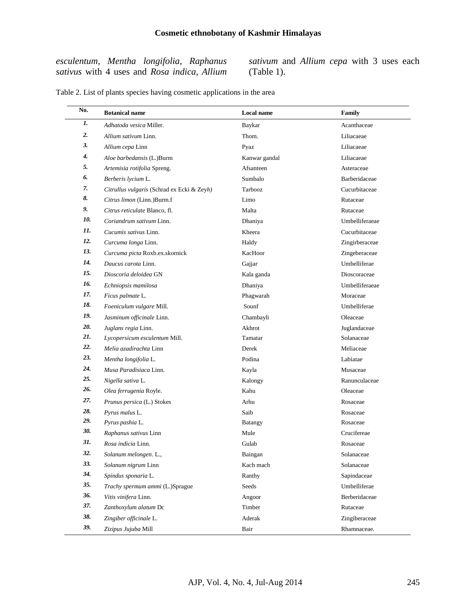*esculentum, Mentha longifolia, Raphanus sativus* with 4 uses and *Rosa indica, Allium*  *sativum* and *Allium cepa* with 3 uses each (Table 1).

| No. | <b>Botanical name</b>                      | Local name     | Family         |
|-----|--------------------------------------------|----------------|----------------|
| 1.  | Adhatoda vesica Miller.                    | Baykar         | Acanthaceae    |
| 2.  | Allium sativum Linn.                       | Thom.          | Liliacaeae     |
| 3.  | Allium cepa Linn                           | Pyaz           | Liliacaeae     |
| 4.  | Aloe barbedansis (L.)Burm                  | Kanwar gandal  | Liliacaeae     |
| 5.  | Artemisia rotifolia Spreng.                | Afsanteen      | Asteraceae     |
| 6.  | Berberis lycium L.                         | Sumbalo        | Barberidaceae  |
| 7.  | Citrullus vulgaris (Schrad ex Ecki & Zeyh) | Tarbooz        | Cucurbitaceae  |
| 8.  | Citrus limon (Linn.)Burm.f                 | Limo           | Rutaceae       |
| 9.  | Citrus reticulate Blanco, fl.              | Malta          | Rutaceae       |
| 10. | Coriandrum sativum Linn.                   | Dhaniya        | Umbelliferaeae |
| 11. | Cucumis sativus Linn.                      | Kheera         | Cucurbitaceae  |
| 12. | Curcuma longa Linn.                        | Haldy          | Zingirberaceae |
| 13. | Curcuma picta Roxb.ex.skornick             | KacHoor        | Zingeberaceae  |
| 14. | Daucus carota Linn.                        | Gajjar         | Umbelliferae   |
| 15. | Dioscoria deloidea GN                      | Kala ganda     | Dioscoraceae   |
| 16. | Echniopsis mamilosa                        | Dhaniya        | Umbelliferaeae |
| 17. | Ficus palmate L.                           | Phagwarah      | Moraceae       |
| 18. | Foeniculum vulgare Mill.                   | Sounf          | Umbelliferae   |
| 19. | Jasminum officinale Linn.                  | Chambayli      | Oleaceae       |
| 20. | Juglans regia Linn.                        | Akhrot         | Juglandaceae   |
| 21. | Lycopersicum esculentum Mill.              | Tamatar        | Solanaceae     |
| 22. | Melia azadirachta Linn                     | Derek          | Meliaceae      |
| 23. | Mentha longifolia L.                       | Podina         | Labiatae       |
| 24. | Musa Paradisiaca Linn.                     | Kayla          | Musaceae       |
| 25. | Nigella sativa L.                          | Kalongy        | Ranunculaceae  |
| 26. | Olea ferrugenia Royle.                     | Kahu           | Oleaceae       |
| 27. | Prunus persica (L.) Stokes                 | Arhu           | Rosaceae       |
| 28. | Pyrus malus L.                             | Saib           | Rosaceae       |
| 29. | Pyrus pashia L.                            | <b>Batangy</b> | Rosaceae       |
| 30. | Raphanus sativus Linn                      | Mule           | Crucifereae    |
| 31. | Rosa indicia Linn.                         | Gulab          | Rosaceae       |
| 32. | Solanum melongen. L.,                      | Baingan        | Solanaceae     |
| 33. | Solanum nigrum Linn                        | Kach mach      | Solanaceae     |
| 34. | Spindus sponaria L.                        | Ranthy         | Sapindaceae    |
| 35. | Trachy spermum ammi (L.)Sprague            | Seeds          | Umbelliferae   |
| 36. | Vitis vinifera Linn.                       | Angoor         | Berberidaceae  |
| 37. | Zanthoxylum alatum Dc                      | Timber         | Rutaceae       |
| 38. | Zingiber officinale L.                     | Aderak         | Zingiberaceae  |
| 39. | Zizipus Jujuba Mill                        | Bair           | Rhamnaceae.    |

Table 2. List of plants species having cosmetic applications in the area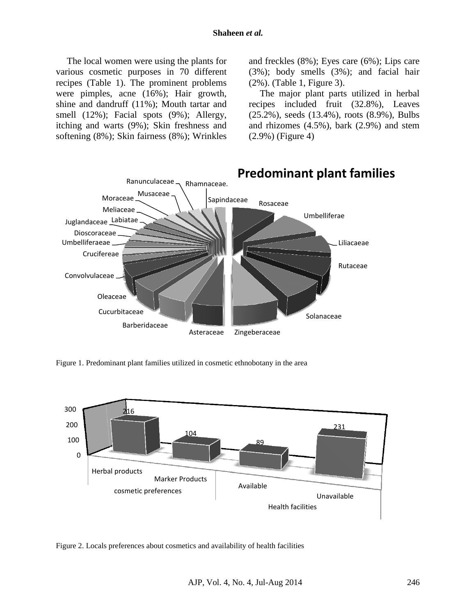The local women were using the plants for various cosmetic purposes in 70 different recipes (Table 1). The prominent problems were pimples, acne (16%); Hair growth, shine and dandruff (11%); Mouth tartar and smell (12%); Facial spots (9%); Allergy, itching and warts (9%); Skin freshness and softening (8%); Skin fairness (8%); Wrinkles

and freckles (8%); Eyes care (6%); Lips care (3%); body smells (3%); and facial hair (2%). (Table 1, Figure 3).

The major plant parts utilized in herbal recipes included fruit (32.8%), Leaves (25.2%), seeds (13.4%), roots (8.9%), Bulbs and rhizomes (4.5%), bark (2.9%) and stem (2.9%) (Figure 4)



Figure 1. Predominant plant families utilized in cosmetic ethnobotany in the area



Figure 2. Locals preferences about cosmetics and availability of health facilities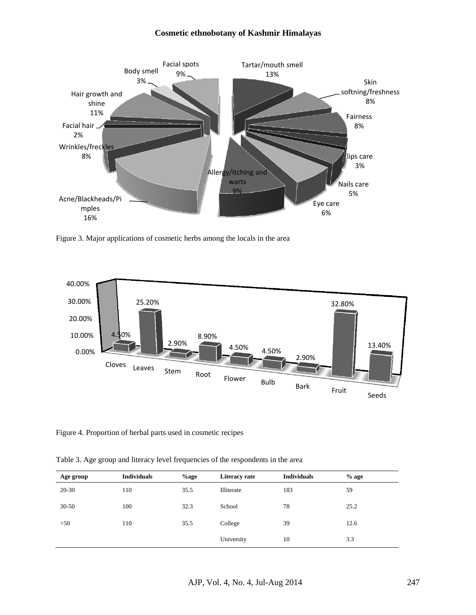#### **Cosmetic ethnobotany of Kashmir Himalayas**



Figure 3. Major applications of cosmetic herbs among the locals in the area



Figure 4. Proportion of herbal parts used in cosmetic recipes

Table 3. Age group and literacy level frequencies of the respondents in the area

| Age group | <b>Individuals</b> | $\%$ age | Literacy rate | <b>Individuals</b> | $%$ age |
|-----------|--------------------|----------|---------------|--------------------|---------|
| 20-30     | 110                | 35.5     | Illiterate    | 183                | 59      |
| $30 - 50$ | 100                | 32.3     | School        | 78                 | 25.2    |
| >50       | 110                | 35.5     | College       | 39                 | 12.6    |
|           |                    |          | University    | 10                 | 3.3     |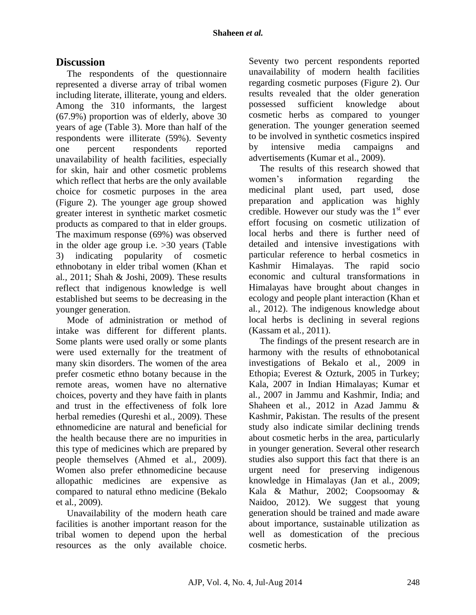# **Discussion**

The respondents of the questionnaire represented a diverse array of tribal women including literate, illiterate, young and elders. Among the 310 informants, the largest (67.9%) proportion was of elderly, above 30 years of age (Table 3). More than half of the respondents were illiterate (59%). Seventy one percent respondents reported unavailability of health facilities, especially for skin, hair and other cosmetic problems which reflect that herbs are the only available choice for cosmetic purposes in the area (Figure 2). The younger age group showed greater interest in synthetic market cosmetic products as compared to that in elder groups. The maximum response (69%) was observed in the older age group i.e. >30 years (Table 3) indicating popularity of cosmetic ethnobotany in elder tribal women (Khan et al*.,* 2011; Shah & Joshi, 2009). These results reflect that indigenous knowledge is well established but seems to be decreasing in the younger generation.

Mode of administration or method of intake was different for different plants. Some plants were used orally or some plants were used externally for the treatment of many skin disorders. The women of the area prefer cosmetic ethno botany because in the remote areas, women have no alternative choices, poverty and they have faith in plants and trust in the effectiveness of folk lore herbal remedies (Qureshi et al*.,* 2009). These ethnomedicine are natural and beneficial for the health because there are no impurities in this type of medicines which are prepared by people themselves (Ahmed et al*.,* 2009). Women also prefer ethnomedicine because allopathic medicines are expensive as compared to natural ethno medicine (Bekalo et al*.,* 2009).

Unavailability of the modern heath care facilities is another important reason for the tribal women to depend upon the herbal resources as the only available choice.

Seventy two percent respondents reported unavailability of modern health facilities regarding cosmetic purposes (Figure 2). Our results revealed that the older generation possessed sufficient knowledge about cosmetic herbs as compared to younger generation. The younger generation seemed to be involved in synthetic cosmetics inspired by intensive media campaigns and advertisements (Kumar et al., 2009).

The results of this research showed that women's information regarding the medicinal plant used, part used, dose preparation and application was highly credible. However our study was the  $1<sup>st</sup>$  ever effort focusing on cosmetic utilization of local herbs and there is further need of detailed and intensive investigations with particular reference to herbal cosmetics in Kashmir Himalayas. The rapid socio economic and cultural transformations in Himalayas have brought about changes in ecology and people plant interaction (Khan et al*.,* 2012). The indigenous knowledge about local herbs is declining in several regions (Kassam et al*.,* 2011).

The findings of the present research are in harmony with the results of ethnobotanical investigations of Bekalo et al*.,* 2009 in Ethopia; Everest & Ozturk, 2005 in Turkey; Kala, 2007 in Indian Himalayas; Kumar et al*.,* 2007 in Jammu and Kashmir, India; and Shaheen et al*.,* 2012 in Azad Jammu & Kashmir, Pakistan. The results of the present study also indicate similar declining trends about cosmetic herbs in the area, particularly in younger generation. Several other research studies also support this fact that there is an urgent need for preserving indigenous knowledge in Himalayas (Jan et al*.,* 2009; Kala & Mathur, 2002; Coopsoomay & Naidoo, 2012). We suggest that young generation should be trained and made aware about importance, sustainable utilization as well as domestication of the precious cosmetic herbs.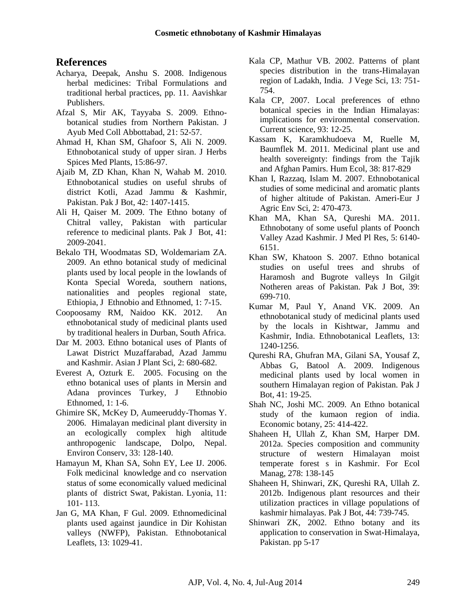## **References**

- Acharya, Deepak, Anshu S. 2008. Indigenous herbal medicines: Tribal Formulations and traditional herbal practices, pp. 11. Aavishkar Publishers.
- Afzal S, Mir AK, Tayyaba S. 2009. Ethnobotanical studies from Northern Pakistan. J Ayub Med Coll Abbottabad, 21: 52-57.
- Ahmad H, Khan SM, Ghafoor S, Ali N. 2009. Ethnobotanical study of upper siran. J Herbs Spices Med Plants, 15:86-97.
- Ajaib M, ZD Khan, Khan N, Wahab M. 2010. Ethnobotanical studies on useful shrubs of district Kotli, Azad Jammu & Kashmir, Pakistan. Pak J Bot, 42: 1407-1415.
- Ali H, Qaiser M. 2009. The Ethno botany of Chitral valley, Pakistan with particular reference to medicinal plants. Pak J Bot, 41: 2009-2041.
- Bekalo TH, Woodmatas SD, Woldemariam ZA. 2009. An ethno botanical study of medicinal plants used by local people in the lowlands of Konta Special Woreda, southern nations, nationalities and peoples regional state, Ethiopia, J Ethnobio and Ethnomed, 1: 7-15.
- Coopoosamy RM, Naidoo KK. 2012. An ethnobotanical study of medicinal plants used by traditional healers in Durban, South Africa.
- Dar M. 2003. Ethno botanical uses of Plants of Lawat District Muzaffarabad, Azad Jammu and Kashmir. Asian J Plant Sci, 2: 680-682.
- Everest A, Ozturk E. 2005. Focusing on the ethno botanical uses of plants in Mersin and Adana provinces Turkey, J Ethnobio Ethnomed, 1: 1-6.
- Ghimire SK, McKey D, Aumeeruddy-Thomas Y. 2006. Himalayan medicinal plant diversity in an ecologically complex high altitude anthropogenic landscape, Dolpo, Nepal. Environ Conserv, 33: 128-140.
- Hamayun M, Khan SA, Sohn EY, Lee IJ. 2006. Folk medicinal knowledge and co nservation status of some economically valued medicinal plants of district Swat, Pakistan. Lyonia, 11: 101- 113.
- Jan G, MA Khan, F Gul. 2009. Ethnomedicinal plants used against jaundice in Dir Kohistan valleys (NWFP), Pakistan. Ethnobotanical Leaflets, 13: 1029-41.
- Kala CP, Mathur VB. 2002. Patterns of plant species distribution in the trans-Himalayan region of Ladakh, India. J Vege Sci, 13: 751- 754.
- Kala CP, 2007. Local preferences of ethno botanical species in the Indian Himalayas: implications for environmental conservation. Current science, 93: 12-25.
- Kassam K, Karamkhudoeva M, Ruelle M, Baumflek M. 2011. Medicinal plant use and health sovereignty: findings from the Tajik and Afghan Pamirs. Hum Ecol, 38: 817-829
- Khan I, Razzaq, Islam M. 2007. Ethnobotanical studies of some medicinal and aromatic plants of higher altitude of Pakistan. Ameri-Eur J Agric Env Sci, 2: 470-473.
- Khan MA, Khan SA, Qureshi MA. 2011. Ethnobotany of some useful plants of Poonch Valley Azad Kashmir. J Med Pl Res, 5: 6140- 6151.
- Khan SW, Khatoon S. 2007. Ethno botanical studies on useful trees and shrubs of Haramosh and Bugrote valleys In Gilgit Notheren areas of Pakistan. Pak J Bot, 39: 699-710.
- Kumar M, Paul Y, Anand VK. 2009. An ethnobotanical study of medicinal plants used by the locals in Kishtwar, Jammu and Kashmir, India. Ethnobotanical Leaflets, 13: 1240-1256.
- Qureshi RA, Ghufran MA, Gilani SA, Yousaf Z, Abbas G, Batool A. 2009. Indigenous medicinal plants used by local women in southern Himalayan region of Pakistan. Pak J Bot, 41: 19-25.
- Shah NC, Joshi MC. 2009. An Ethno botanical study of the kumaon region of india. Economic botany, 25: 414-422.
- Shaheen H, Ullah Z, Khan SM, Harper DM. 2012a. Species composition and community structure of western Himalayan moist temperate forest s in Kashmir. For Ecol Manag, 278: 138-145
- Shaheen H, Shinwari, ZK, Qureshi RA, Ullah Z. 2012b. Indigenous plant resources and their utilization practices in village populations of kashmir himalayas. Pak J Bot, 44: 739-745.
- Shinwari ZK, 2002. Ethno botany and its application to conservation in Swat-Himalaya, Pakistan. pp 5-17